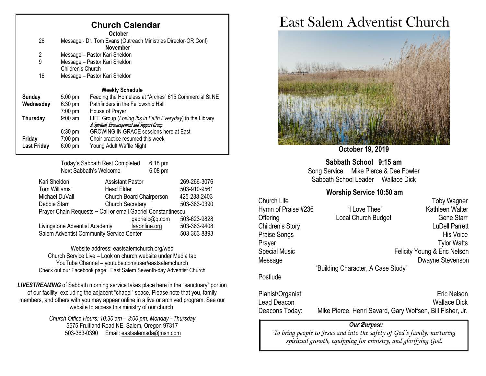### **Church Calendar**

|                    |                                                                | <b>October</b>                                           |  |
|--------------------|----------------------------------------------------------------|----------------------------------------------------------|--|
| 26                 | Message - Dr. Tom Evans (Outreach Ministries Director-OR Conf) |                                                          |  |
|                    |                                                                | <b>November</b>                                          |  |
| 2                  | Message - Pastor Kari Sheldon                                  |                                                          |  |
| 9                  | Message - Pastor Kari Sheldon                                  |                                                          |  |
|                    | Children's Church                                              |                                                          |  |
| 16                 | Message - Pastor Kari Sheldon                                  |                                                          |  |
|                    |                                                                |                                                          |  |
|                    |                                                                | <b>Weekly Schedule</b>                                   |  |
| <b>Sunday</b>      | $5:00$ pm                                                      | Feeding the Homeless at "Arches" 615 Commercial St NE    |  |
| Wednesday          | $6:30 \text{ pm}$                                              | Pathfinders in the Fellowship Hall                       |  |
|                    | $7:00 \text{ pm}$                                              | House of Prayer                                          |  |
| <b>Thursday</b>    | $9:00$ am                                                      | LIFE Group (Losing Ibs in Faith Everyday) in the Library |  |
|                    |                                                                | A Spiritual, Encouragement and Support Group             |  |
|                    | $6:30 \text{ pm}$                                              | <b>GROWING IN GRACE sessions here at East</b>            |  |
| Friday             | 7:00 pm                                                        | Choir practice resumed this week                         |  |
| <b>Last Friday</b> | $6:00 \text{ pm}$                                              | Young Adult Waffle Night                                 |  |
|                    |                                                                |                                                          |  |

Today's Sabbath Rest Completed 6:18 pm Next Sabbath's Welcome 6:08 pm

| Kari Sheldon                                                 | <b>Assistant Pastor</b>  | 269-266-3076 |  |
|--------------------------------------------------------------|--------------------------|--------------|--|
| Tom Williams                                                 | <b>Head Elder</b>        | 503-910-9561 |  |
| Michael DuVall                                               | Church Board Chairperson | 425-238-2403 |  |
| Debbie Starr                                                 | <b>Church Secretary</b>  | 503-363-0390 |  |
| Prayer Chain Requests ~ Call or email Gabriel Constantinescu |                          |              |  |
|                                                              | gabrielc@q.com           | 503-623-9828 |  |
| Livingstone Adventist Academy                                | laaonline.org            | 503-363-9408 |  |
| Salem Adventist Community Service Center                     | 503-363-8893             |              |  |

Website address[: eastsalemchurch.org/w](http://eastsalem.adventists.info/)eb Church Service Live – Look on church website under Media tab YouTube Channel – youtube.com/user/eastsalemchurch Check out our Facebook page: East Salem Seventh-day Adventist Church

**LIVESTREAMING** of Sabbath morning service takes place here in the "sanctuary" portion of our facility, excluding the adjacent "chapel" space. Please note that you, family members, and others with you may appear online in a live or archived program. See our website to access this ministry of our church.

> *Church Office Hours: 10:30 am – 3:00 pm, Monday - Thursday* 5575 Fruitland Road NE, Salem, Oregon 97317 503-363-0390 Email: [eastsalemsda@msn.com](mailto:eastsalemsda@msn.com)

## East Salem Adventist Church



**October 19, 2019**

**Sabbath School 9:15 am** Song Service Mike Pierce & Dee Fowler Sabbath School Leader Wallace Dick

#### **Worship Service 10:50 am**

| Church Life          |                                    | <b>Toby Wagner</b>           |
|----------------------|------------------------------------|------------------------------|
| Hymn of Praise #236  | "I Love Thee"                      | Kathleen Walter              |
| Offering             | Local Church Budget                | <b>Gene Starr</b>            |
| Children's Story     |                                    | <b>LuDell Parrett</b>        |
| Praise Songs         |                                    | <b>His Voice</b>             |
| Prayer               |                                    | <b>Tylor Watts</b>           |
| <b>Special Music</b> |                                    | Felicity Young & Eric Nelson |
| Message              |                                    | Dwayne Stevenson             |
|                      | "Building Character, A Case Study" |                              |
|                      |                                    |                              |

Postlude

Pianist/Organist Eric Nelson Lead Deacon Wallace Dick Deacons Today: Mike Pierce, Henri Savard, Gary Wolfsen, Bill Fisher, Jr.

#### *Our Purpose:*

*To bring people to Jesus and into the safety of God's family; nurturing spiritual growth, equipping for ministry, and glorifying God.*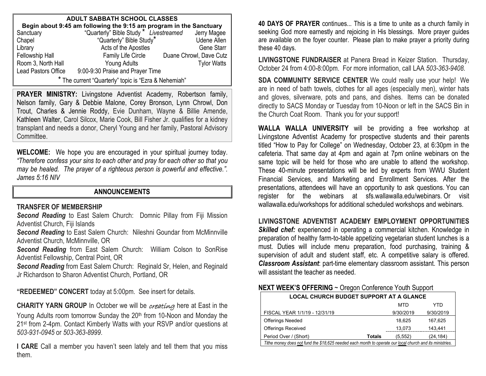| <b>ADULT SABBATH SCHOOL CLASSES</b>                                                                                                      |                                  |                         |  |  |  |
|------------------------------------------------------------------------------------------------------------------------------------------|----------------------------------|-------------------------|--|--|--|
| <b>Begin about 9:45 am following the 9:15 am program in the Sanctuary</b><br>anctuary "Quarterly" Bible Study * Livestreamed Jerry Magee |                                  |                         |  |  |  |
| Sanctuary                                                                                                                                |                                  |                         |  |  |  |
| Chapel                                                                                                                                   | "Quarterly" Bible Study"         | <b>Udene Allen</b>      |  |  |  |
| Library                                                                                                                                  | Acts of the Apostles             | <b>Gene Starr</b>       |  |  |  |
| Fellowship Hall                                                                                                                          | Family Life Circle               | Duane Chrowl, Dave Cutz |  |  |  |
| Room 3, North Hall                                                                                                                       | Young Adults                     | <b>Tylor Watts</b>      |  |  |  |
| Lead Pastors Office                                                                                                                      | 9:00-9:30 Praise and Prayer Time |                         |  |  |  |
| * The current "Quarterly" topic is "Ezra & Nehemiah"                                                                                     |                                  |                         |  |  |  |

**PRAYER MINISTRY:** Livingstone Adventist Academy, Robertson family, Nelson family, Gary & Debbie Malone, Corey Bronson, Lynn Chrowl, Don Trout, Charles & Jennie Roddy, Evie Dunham, Wayne & Billie Amende, Kathleen Walter, Carol Silcox, Marie Cook, Bill Fisher Jr. qualifies for a kidney transplant and needs a donor, Cheryl Young and her family, Pastoral Advisory Committee.

**WELCOME:** We hope you are encouraged in your spiritual journey today. *"Therefore confess your sins to each other and pray for each other so that you may be healed. The prayer of a righteous person is powerful and effective.". James 5:16 NIV*

#### **ANNOUNCEMENTS**

#### **TRANSFER OF MEMBERSHIP**

*Second Reading* to East Salem Church: Domnic Pillay from Fiji Mission Adventist Church, Fiji Islands

*Second Reading* to East Salem Church: Nileshni Goundar from McMinnville Adventist Church, McMinnville, OR

*Second Reading* from East Salem Church: William Colson to SonRise Adventist Fellowship, Central Point, OR

*Second Reading* from East Salem Church: Reginald Sr, Helen, and Reginald Jr Richardson to Sharon Adventist Church, Portland, OR

**"REDEEMED" CONCERT** today at 5:00pm. See insert for details.

**CHARITY YARN GROUP** In October we will be *creating* here at East in the Young Adults room tomorrow Sunday the 20<sup>th</sup> from 10-Noon and Monday the 21st from 2-4pm. Contact Kimberly Watts with your RSVP and/or questions at *503-931-0945* or *503-363-8999*.

**I CARE** Call a member you haven't seen lately and tell them that you miss them.

**40 DAYS OF PRAYER** continues... This is a time to unite as a church family in seeking God more earnestly and rejoicing in His blessings. More prayer guides are available on the foyer counter. Please plan to make prayer a priority during these 40 days.

**LIVINGSTONE FUNDRAISER** at Panera Bread in Keizer Station. Thursday, October 24 from 4:00-8:00pm. For more information, call LAA *503-363-9408.*

**SDA COMMUNITY SERVICE CENTER** We could really use your help! We are in need of bath towels, clothes for all ages (especially men), winter hats and gloves, silverware, pots and pans, and dishes. Items can be donated directly to SACS Monday or Tuesday from 10-Noon or left in the SACS Bin in the Church Coat Room. Thank you for your support!

**WALLA WALLA UNIVERSITY** will be providing a free workshop at Livingstone Adventist Academy for prospective students and their parents titled "How to Pay for College" on Wednesday, October 23, at 6:30pm in the cafeteria. That same day at 4pm and again at 7pm online webinars on the same topic will be held for those who are unable to attend the workshop. These 40-minute presentations will be led by experts from WWU Student Financial Services, and Marketing and Enrollment Services. After the presentations, attendees will have an opportunity to ask questions. You can register for the webinars at sfs.wallawalla.edu/webinars. Or visit wallawalla.edu/workshops for additional scheduled workshops and webinars.

**LIVINGSTONE ADVENTIST ACADEMY EMPLOYMENT OPPORTUNITIES Skilled chef:** experienced in operating a commercial kitchen. Knowledge in preparation of healthy farm-to-table appetizing vegetarian student lunches is a must. Duties will include menu preparation, food purchasing, training & supervision of adult and student staff, etc. A competitive salary is offered. *Classroom Assistant*: part-time elementary classroom assistant. This person will assistant the teacher as needed.

#### **NEXT WEEK'S OFFERING** ~ Oregon Conference Youth Support

| <b>LOCAL CHURCH BUDGET SUPPORT AT A GLANCE</b>                                                           |               |           |           |  |
|----------------------------------------------------------------------------------------------------------|---------------|-----------|-----------|--|
|                                                                                                          |               | MTD       | YTD       |  |
| FISCAL YEAR 1/1/19 - 12/31/19                                                                            |               | 9/30/2019 | 9/30/2019 |  |
| <b>Offerings Needed</b>                                                                                  |               | 18.625    | 167.625   |  |
| <b>Offerings Received</b>                                                                                |               | 13.073    | 143.441   |  |
| Period Over / (Short)                                                                                    | <b>Totals</b> | (5,552)   | (24, 184) |  |
| Tithe money does not fund the \$18,625 needed each month to operate our local church and its ministries. |               |           |           |  |